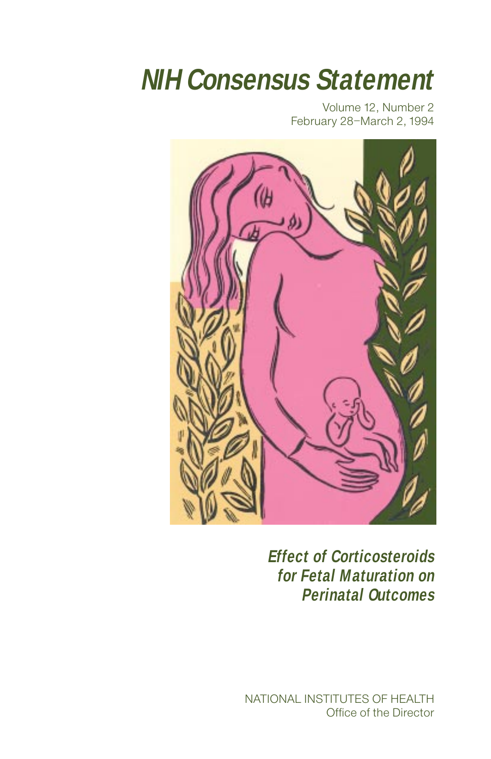# **NIH Consensus Statement**

Volume 12, Number 2 February 28–March 2, 1994



**Effect of Corticosteroids for Fetal Maturation on Perinatal Outcomes** 

NATIONAL INSTITUTES OF HEALTH Office of the Director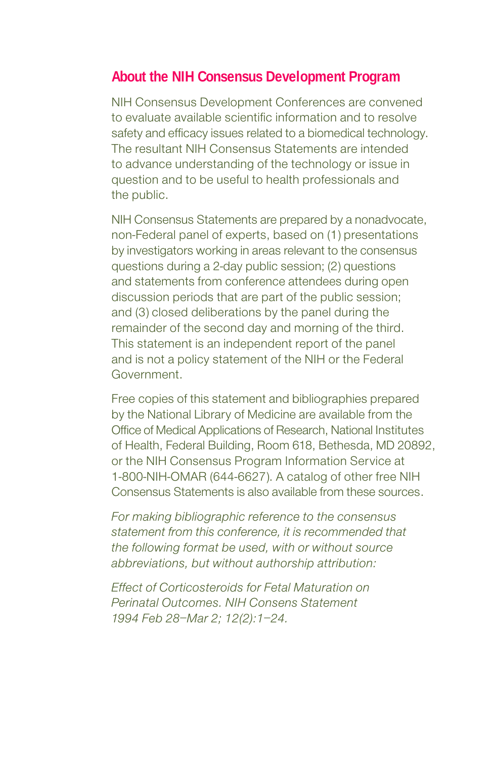### **About the NIH Consensus Development Program**

NIH Consensus Development Conferences are convened to evaluate available scientific information and to resolve safety and efficacy issues related to a biomedical technology. The resultant NIH Consensus Statements are intended to advance understanding of the technology or issue in question and to be useful to health professionals and the public.

NIH Consensus Statements are prepared by a nonadvocate, non-Federal panel of experts, based on (1) presentations by investigators working in areas relevant to the consensus questions during a 2-day public session; (2) questions and statements from conference attendees during open discussion periods that are part of the public session; and (3) closed deliberations by the panel during the remainder of the second day and morning of the third. This statement is an independent report of the panel and is not a policy statement of the NIH or the Federal Government.

Free copies of this statement and bibliographies prepared by the National Library of Medicine are available from the Office of Medical Applications of Research, National Institutes of Health, Federal Building, Room 618, Bethesda, MD 20892, or the NIH Consensus Program Information Service at 1-800-NIH-OMAR (644-6627). A catalog of other free NIH Consensus Statements is also available from these sources.

For making bibliographic reference to the consensus statement from this conference, it is recommended that the following format be used, with or without source abbreviations, but without authorship attribution:

Effect of Corticosteroids for Fetal Maturation on Perinatal Outcomes. NIH Consens Statement 1994 Feb 28–Mar 2; 12(2):1–24.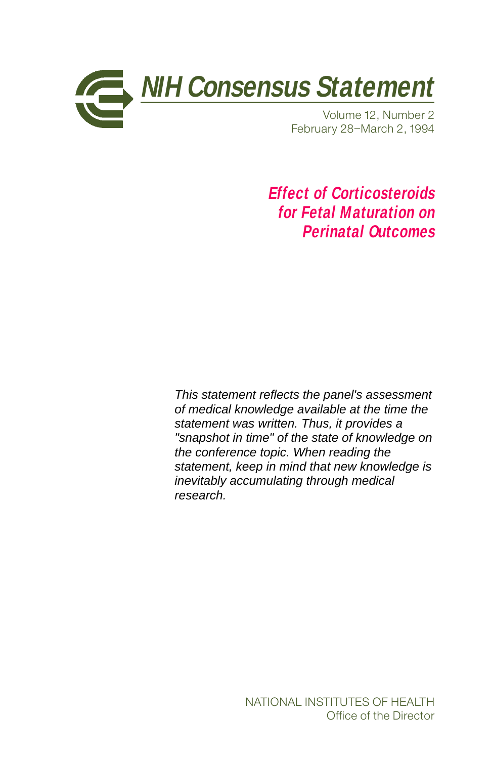

**Effect of Corticosteroids for Fetal Maturation on Perinatal Outcomes** 

This statement reflects the panel's assessment of medical knowledge available at the time the statement was written. Thus, it provides a "snapshot in time" of the state of knowledge on the conference topic. When reading the statement, keep in mind that new knowledge is inevitably accumulating through medical research.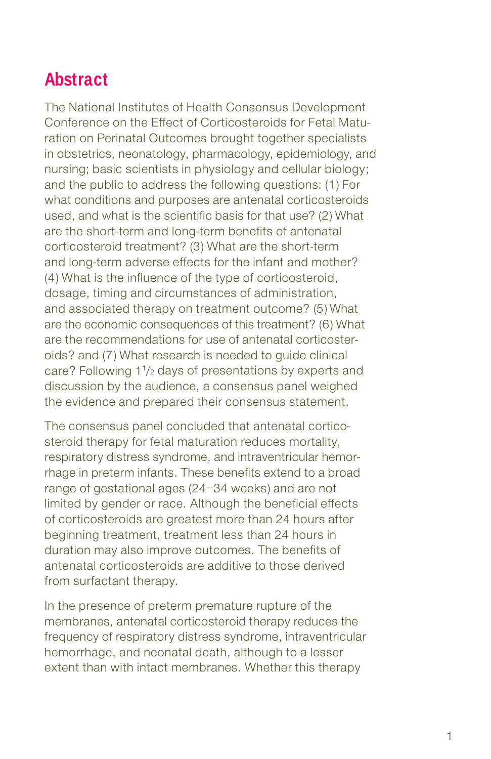# **Abstract**

The National Institutes of Health Consensus Development Conference on the Effect of Corticosteroids for Fetal Maturation on Perinatal Outcomes brought together specialists in obstetrics, neonatology, pharmacology, epidemiology, and nursing; basic scientists in physiology and cellular biology; and the public to address the following questions: (1) For what conditions and purposes are antenatal corticosteroids used, and what is the scientific basis for that use? (2) What are the short-term and long-term benefits of antenatal corticosteroid treatment? (3) What are the short-term and long-term adverse effects for the infant and mother? (4) What is the influence of the type of corticosteroid, dosage, timing and circumstances of administration, and associated therapy on treatment outcome? (5) What are the economic consequences of this treatment? (6) What are the recommendations for use of antenatal corticosteroids? and (7) What research is needed to guide clinical care? Following 11 /2 days of presentations by experts and discussion by the audience, a consensus panel weighed the evidence and prepared their consensus statement.

The consensus panel concluded that antenatal corticosteroid therapy for fetal maturation reduces mortality, respiratory distress syndrome, and intraventricular hemorrhage in preterm infants. These benefits extend to a broad range of gestational ages (24–34 weeks) and are not limited by gender or race. Although the beneficial effects of corticosteroids are greatest more than 24 hours after beginning treatment, treatment less than 24 hours in duration may also improve outcomes. The benefits of antenatal corticosteroids are additive to those derived from surfactant therapy.

In the presence of preterm premature rupture of the membranes, antenatal corticosteroid therapy reduces the frequency of respiratory distress syndrome, intraventricular hemorrhage, and neonatal death, although to a lesser extent than with intact membranes. Whether this therapy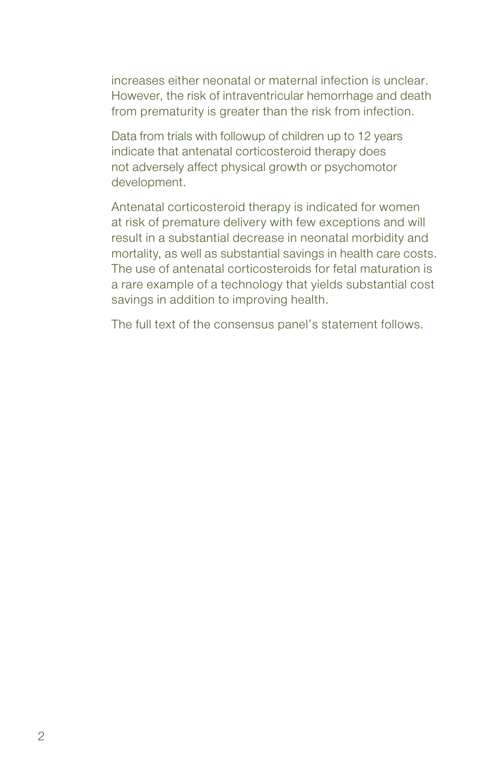increases either neonatal or maternal infection is unclear. However, the risk of intraventricular hemorrhage and death from prematurity is greater than the risk from infection.

Data from trials with followup of children up to 12 years indicate that antenatal corticosteroid therapy does not adversely affect physical growth or psychomotor development.

Antenatal corticosteroid therapy is indicated for women at risk of premature delivery with few exceptions and will result in a substantial decrease in neonatal morbidity and mortality, as well as substantial savings in health care costs. The use of antenatal corticosteroids for fetal maturation is a rare example of a technology that yields substantial cost savings in addition to improving health.

The full text of the consensus panel's statement follows.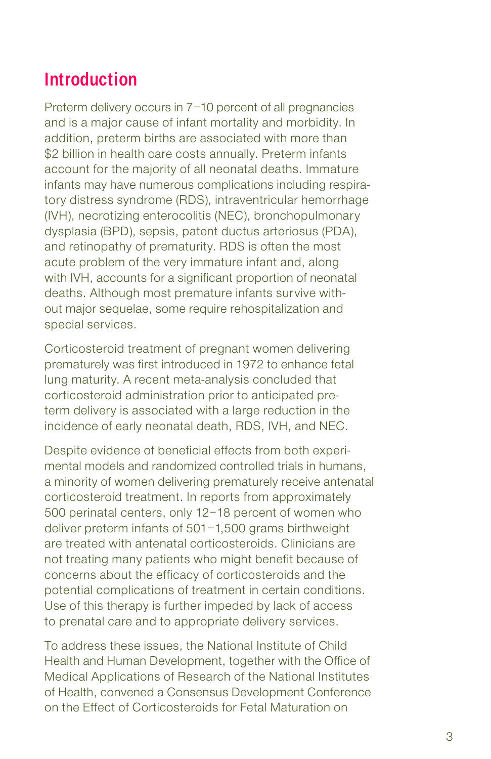# **Introduction**

Preterm delivery occurs in 7–10 percent of all pregnancies and is a major cause of infant mortality and morbidity. In addition, preterm births are associated with more than \$2 billion in health care costs annually. Preterm infants account for the majority of all neonatal deaths. Immature infants may have numerous complications including respiratory distress syndrome (RDS), intraventricular hemorrhage (IVH), necrotizing enterocolitis (NEC), bronchopulmonary dysplasia (BPD), sepsis, patent ductus arteriosus (PDA), and retinopathy of prematurity. RDS is often the most acute problem of the very immature infant and, along with IVH, accounts for a significant proportion of neonatal deaths. Although most premature infants survive without major sequelae, some require rehospitalization and special services.

Corticosteroid treatment of pregnant women delivering prematurely was first introduced in 1972 to enhance fetal lung maturity. A recent meta-analysis concluded that corticosteroid administration prior to anticipated preterm delivery is associated with a large reduction in the incidence of early neonatal death, RDS, IVH, and NEC.

Despite evidence of beneficial effects from both experimental models and randomized controlled trials in humans, a minority of women delivering prematurely receive antenatal corticosteroid treatment. In reports from approximately 500 perinatal centers, only 12–18 percent of women who deliver preterm infants of 501–1,500 grams birthweight are treated with antenatal corticosteroids. Clinicians are not treating many patients who might benefit because of concerns about the efficacy of corticosteroids and the potential complications of treatment in certain conditions. Use of this therapy is further impeded by lack of access to prenatal care and to appropriate delivery services.

To address these issues, the National Institute of Child Health and Human Development, together with the Office of Medical Applications of Research of the National Institutes of Health, convened a Consensus Development Conference on the Effect of Corticosteroids for Fetal Maturation on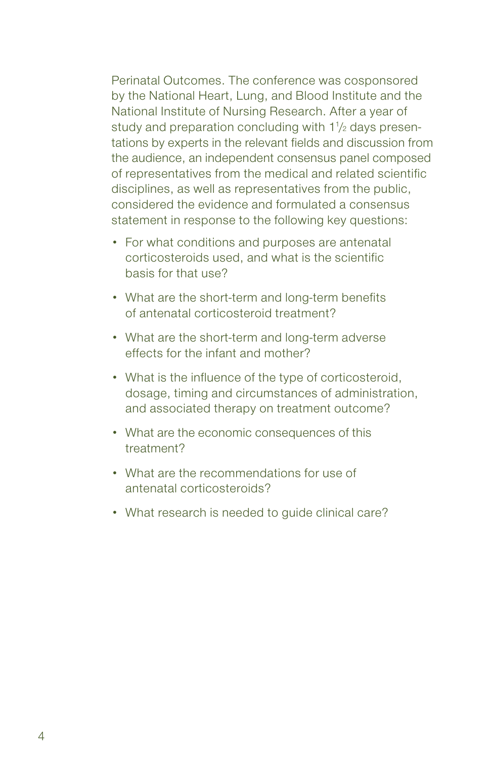Perinatal Outcomes. The conference was cosponsored by the National Heart, Lung, and Blood Institute and the National Institute of Nursing Research. After a year of study and preparation concluding with 1<sup>1</sup>/2 days presentations by experts in the relevant fields and discussion from the audience, an independent consensus panel composed of representatives from the medical and related scientific disciplines, as well as representatives from the public, considered the evidence and formulated a consensus statement in response to the following key questions:

- For what conditions and purposes are antenatal corticosteroids used, and what is the scientific basis for that use?
- What are the short-term and long-term benefits of antenatal corticosteroid treatment?
- What are the short-term and long-term adverse effects for the infant and mother?
- What is the influence of the type of corticosteroid. dosage, timing and circumstances of administration, and associated therapy on treatment outcome?
- What are the economic consequences of this treatment?
- What are the recommendations for use of antenatal corticosteroids?
- What research is needed to quide clinical care?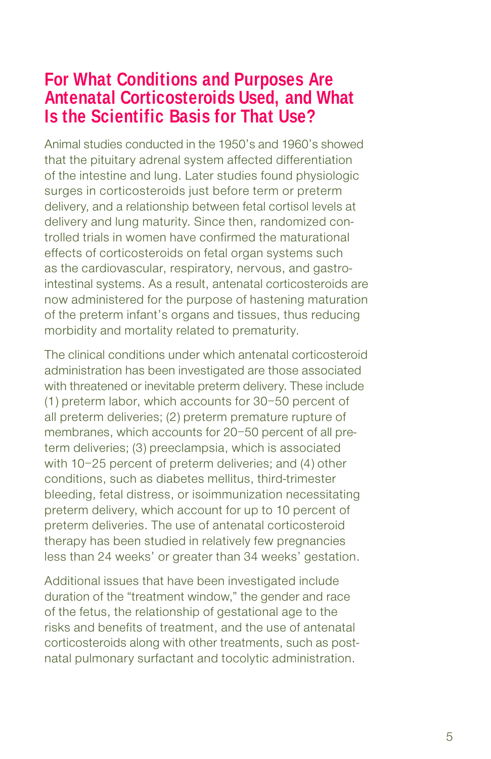# **For What Conditions and Purposes Are Antenatal Corticosteroids Used, and What Is the Scientific Basis for That Use?**

Animal studies conducted in the 1950's and 1960's showed that the pituitary adrenal system affected differentiation of the intestine and lung. Later studies found physiologic surges in corticosteroids just before term or preterm delivery, and a relationship between fetal cortisol levels at delivery and lung maturity. Since then, randomized controlled trials in women have confirmed the maturational effects of corticosteroids on fetal organ systems such as the cardiovascular, respiratory, nervous, and gastrointestinal systems. As a result, antenatal corticosteroids are now administered for the purpose of hastening maturation of the preterm infant's organs and tissues, thus reducing morbidity and mortality related to prematurity.

The clinical conditions under which antenatal corticosteroid administration has been investigated are those associated with threatened or inevitable preterm delivery. These include (1) preterm labor, which accounts for 30–50 percent of all preterm deliveries; (2) preterm premature rupture of membranes, which accounts for 20–50 percent of all preterm deliveries; (3) preeclampsia, which is associated with 10–25 percent of preterm deliveries; and (4) other conditions, such as diabetes mellitus, third-trimester bleeding, fetal distress, or isoimmunization necessitating preterm delivery, which account for up to 10 percent of preterm deliveries. The use of antenatal corticosteroid therapy has been studied in relatively few pregnancies less than 24 weeks' or greater than 34 weeks' gestation.

Additional issues that have been investigated include duration of the "treatment window," the gender and race of the fetus, the relationship of gestational age to the risks and benefits of treatment, and the use of antenatal corticosteroids along with other treatments, such as postnatal pulmonary surfactant and tocolytic administration.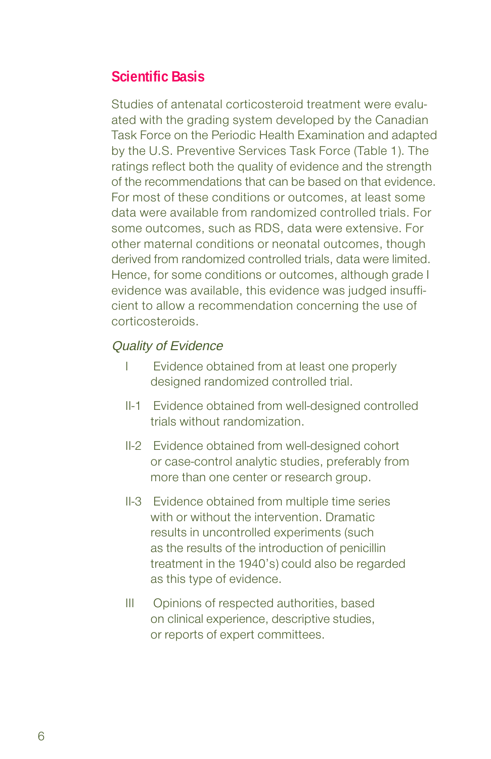# **Scientific Basis**

Studies of antenatal corticosteroid treatment were evaluated with the grading system developed by the Canadian Task Force on the Periodic Health Examination and adapted by the U.S. Preventive Services Task Force (Table 1). The ratings reflect both the quality of evidence and the strength of the recommendations that can be based on that evidence. For most of these conditions or outcomes, at least some data were available from randomized controlled trials. For some outcomes, such as RDS, data were extensive. For other maternal conditions or neonatal outcomes, though derived from randomized controlled trials, data were limited. Hence, for some conditions or outcomes, although grade I evidence was available, this evidence was judged insufficient to allow a recommendation concerning the use of corticosteroids.

### Quality of Evidence

- I Evidence obtained from at least one properly designed randomized controlled trial.
- II-1 Evidence obtained from well-designed controlled trials without randomization.
- II-2 Evidence obtained from well-designed cohort or case-control analytic studies, preferably from more than one center or research group.
- II-3 Evidence obtained from multiple time series with or without the intervention. Dramatic results in uncontrolled experiments (such as the results of the introduction of penicillin treatment in the 1940's) could also be regarded as this type of evidence.
- III Opinions of respected authorities, based on clinical experience, descriptive studies, or reports of expert committees.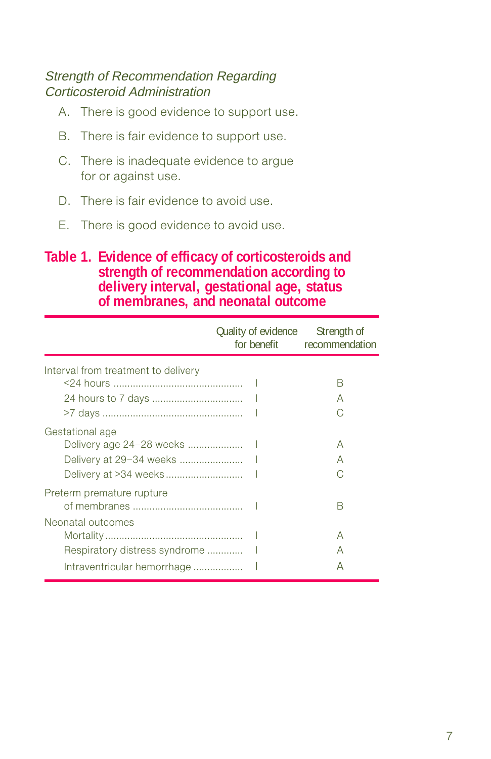### Strength of Recommendation Regarding Corticosteroid Administration

- A. There is good evidence to support use.
- B. There is fair evidence to support use.
- C. There is inadequate evidence to argue for or against use.
- D. There is fair evidence to avoid use.
- E. There is good evidence to avoid use.

### **Table 1. Evidence of efficacy of corticosteroids and strength of recommendation according to delivery interval, gestational age, status of membranes, and neonatal outcome**

|                                                                        | Quality of evidence<br>for benefit | Strength of<br>recommendation |
|------------------------------------------------------------------------|------------------------------------|-------------------------------|
| Interval from treatment to delivery                                    |                                    | R<br>A                        |
|                                                                        |                                    | C                             |
| Gestational age<br>Delivery age 24-28 weeks<br>Delivery at 29-34 weeks |                                    | A<br>A                        |
| Preterm premature rupture                                              |                                    | B                             |
| Neonatal outcomes<br>Respiratory distress syndrome                     |                                    | A<br>А                        |
| Intraventricular hemorrhage                                            |                                    | А                             |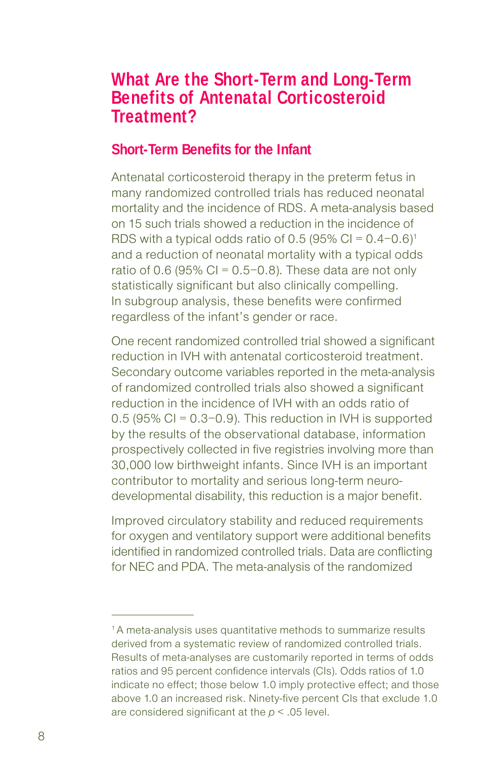# **What Are the Short-Term and Long-Term Benefits of Antenatal Corticosteroid Treatment?**

### **Short-Term Benefits for the Infant**

Antenatal corticosteroid therapy in the preterm fetus in many randomized controlled trials has reduced neonatal mortality and the incidence of RDS. A meta-analysis based on 15 such trials showed a reduction in the incidence of RDS with a typical odds ratio of 0.5 (95% CI =  $0.4-0.6$ )<sup>1</sup> and a reduction of neonatal mortality with a typical odds ratio of 0.6 (95% CI =  $0.5-0.8$ ). These data are not only statistically significant but also clinically compelling. In subgroup analysis, these benefits were confirmed regardless of the infant's gender or race.

One recent randomized controlled trial showed a significant reduction in IVH with antenatal corticosteroid treatment. Secondary outcome variables reported in the meta-analysis of randomized controlled trials also showed a significant reduction in the incidence of IVH with an odds ratio of  $0.5$  (95% CI =  $0.3-0.9$ ). This reduction in IVH is supported by the results of the observational database, information prospectively collected in five registries involving more than 30,000 low birthweight infants. Since IVH is an important contributor to mortality and serious long-term neurodevelopmental disability, this reduction is a major benefit.

Improved circulatory stability and reduced requirements for oxygen and ventilatory support were additional benefits identified in randomized controlled trials. Data are conflicting for NEC and PDA. The meta-analysis of the randomized

<sup>&</sup>lt;sup>1</sup> A meta-analysis uses quantitative methods to summarize results derived from a systematic review of randomized controlled trials. Results of meta-analyses are customarily reported in terms of odds ratios and 95 percent confidence intervals (CIs). Odds ratios of 1.0 indicate no effect; those below 1.0 imply protective effect; and those above 1.0 an increased risk. Ninety-five percent CIs that exclude 1.0 are considered significant at the  $p < 0.05$  level.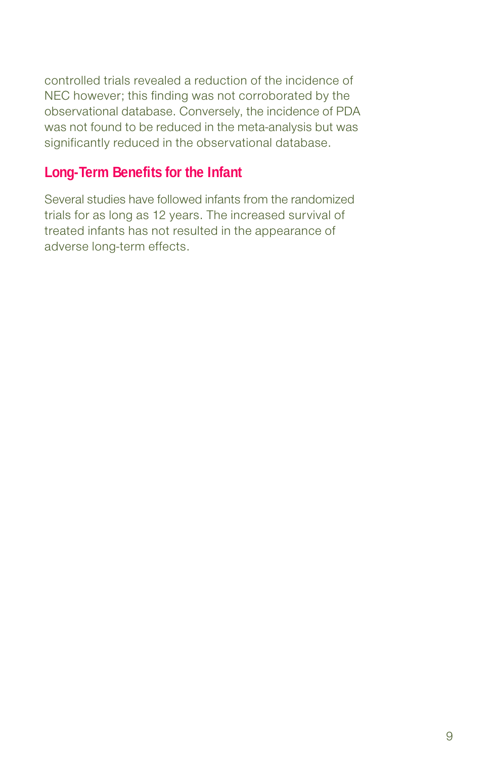controlled trials revealed a reduction of the incidence of NEC however; this finding was not corroborated by the observational database. Conversely, the incidence of PDA was not found to be reduced in the meta-analysis but was significantly reduced in the observational database.

# **Long-Term Benefits for the Infant**

Several studies have followed infants from the randomized trials for as long as 12 years. The increased survival of treated infants has not resulted in the appearance of adverse long-term effects.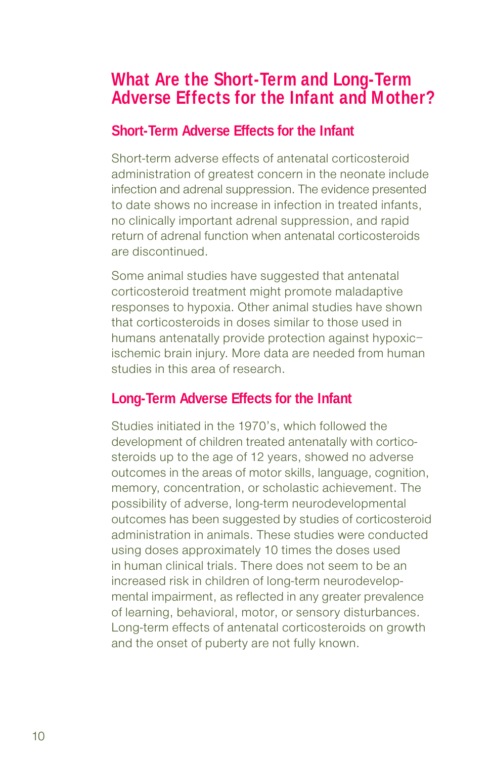# **What Are the Short-Term and Long-Term Adverse Effects for the Infant and Mother?**

### **Short-Term Adverse Effects for the Infant**

Short-term adverse effects of antenatal corticosteroid administration of greatest concern in the neonate include infection and adrenal suppression. The evidence presented to date shows no increase in infection in treated infants, no clinically important adrenal suppression, and rapid return of adrenal function when antenatal corticosteroids are discontinued.

Some animal studies have suggested that antenatal corticosteroid treatment might promote maladaptive responses to hypoxia. Other animal studies have shown that corticosteroids in doses similar to those used in humans antenatally provide protection against hypoxic– ischemic brain injury. More data are needed from human studies in this area of research.

## **Long-Term Adverse Effects for the Infant**

Studies initiated in the 1970's, which followed the development of children treated antenatally with corticosteroids up to the age of 12 years, showed no adverse outcomes in the areas of motor skills, language, cognition, memory, concentration, or scholastic achievement. The possibility of adverse, long-term neurodevelopmental outcomes has been suggested by studies of corticosteroid administration in animals. These studies were conducted using doses approximately 10 times the doses used in human clinical trials. There does not seem to be an increased risk in children of long-term neurodevelopmental impairment, as reflected in any greater prevalence of learning, behavioral, motor, or sensory disturbances. Long-term effects of antenatal corticosteroids on growth and the onset of puberty are not fully known.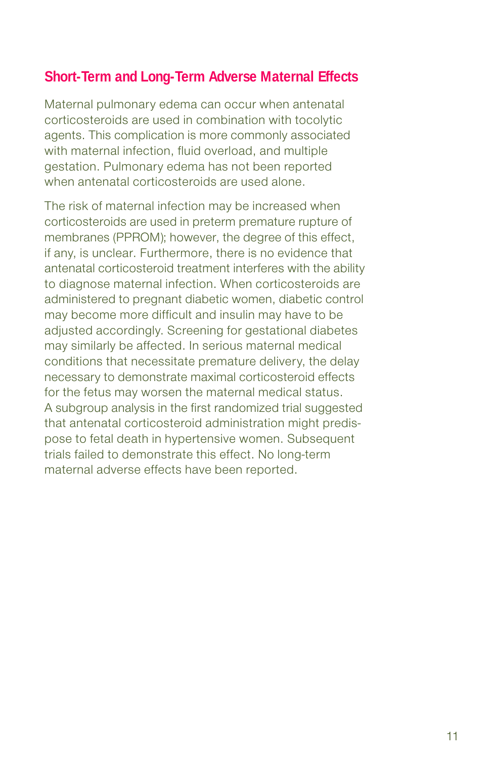# **Short-Term and Long-Term Adverse Maternal Effects**

Maternal pulmonary edema can occur when antenatal corticosteroids are used in combination with tocolytic agents. This complication is more commonly associated with maternal infection, fluid overload, and multiple gestation. Pulmonary edema has not been reported when antenatal corticosteroids are used alone.

The risk of maternal infection may be increased when corticosteroids are used in preterm premature rupture of membranes (PPROM); however, the degree of this effect, if any, is unclear. Furthermore, there is no evidence that antenatal corticosteroid treatment interferes with the ability to diagnose maternal infection. When corticosteroids are administered to pregnant diabetic women, diabetic control may become more difficult and insulin may have to be adjusted accordingly. Screening for gestational diabetes may similarly be affected. In serious maternal medical conditions that necessitate premature delivery, the delay necessary to demonstrate maximal corticosteroid effects for the fetus may worsen the maternal medical status. A subgroup analysis in the first randomized trial suggested that antenatal corticosteroid administration might predispose to fetal death in hypertensive women. Subsequent trials failed to demonstrate this effect. No long-term maternal adverse effects have been reported.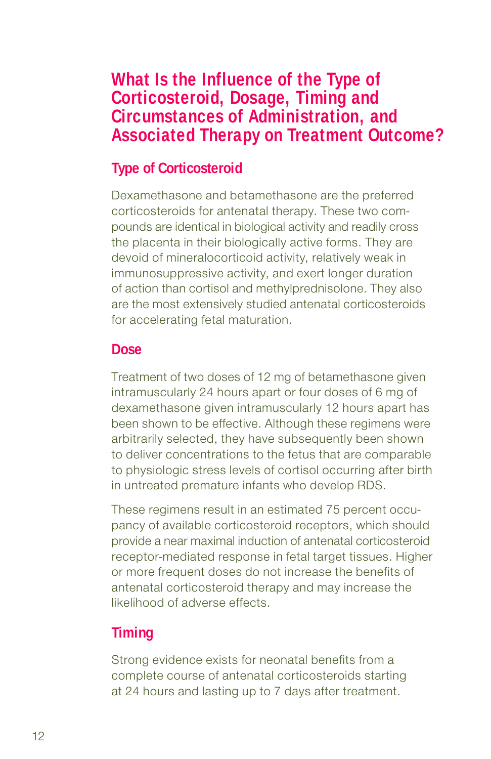# **What Is the Influence of the Type of Corticosteroid, Dosage, Timing and Circumstances of Administration, and Associated Therapy on Treatment Outcome?**

# **Type of Corticosteroid**

Dexamethasone and betamethasone are the preferred corticosteroids for antenatal therapy. These two compounds are identical in biological activity and readily cross the placenta in their biologically active forms. They are devoid of mineralocorticoid activity, relatively weak in immunosuppressive activity, and exert longer duration of action than cortisol and methylprednisolone. They also are the most extensively studied antenatal corticosteroids for accelerating fetal maturation.

# **Dose**

Treatment of two doses of 12 mg of betamethasone given intramuscularly 24 hours apart or four doses of 6 mg of dexamethasone given intramuscularly 12 hours apart has been shown to be effective. Although these regimens were arbitrarily selected, they have subsequently been shown to deliver concentrations to the fetus that are comparable to physiologic stress levels of cortisol occurring after birth in untreated premature infants who develop RDS.

These regimens result in an estimated 75 percent occupancy of available corticosteroid receptors, which should provide a near maximal induction of antenatal corticosteroid receptor-mediated response in fetal target tissues. Higher or more frequent doses do not increase the benefits of antenatal corticosteroid therapy and may increase the likelihood of adverse effects.

# **Timing**

Strong evidence exists for neonatal benefits from a complete course of antenatal corticosteroids starting at 24 hours and lasting up to 7 days after treatment.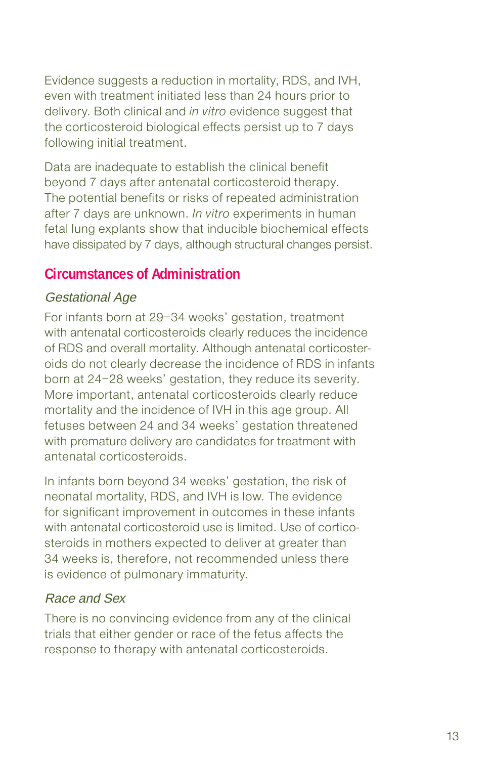Evidence suggests a reduction in mortality, RDS, and IVH, even with treatment initiated less than 24 hours prior to delivery. Both clinical and in vitro evidence suggest that the corticosteroid biological effects persist up to 7 days following initial treatment.

Data are inadequate to establish the clinical benefit beyond 7 days after antenatal corticosteroid therapy. The potential benefits or risks of repeated administration after 7 days are unknown. In vitro experiments in human fetal lung explants show that inducible biochemical effects have dissipated by 7 days, although structural changes persist.

# **Circumstances of Administration**

### Gestational Age

For infants born at 29–34 weeks' gestation, treatment with antenatal corticosteroids clearly reduces the incidence of RDS and overall mortality. Although antenatal corticosteroids do not clearly decrease the incidence of RDS in infants born at 24–28 weeks' gestation, they reduce its severity. More important, antenatal corticosteroids clearly reduce mortality and the incidence of IVH in this age group. All fetuses between 24 and 34 weeks' gestation threatened with premature delivery are candidates for treatment with antenatal corticosteroids.

In infants born beyond 34 weeks' gestation, the risk of neonatal mortality, RDS, and IVH is low. The evidence for significant improvement in outcomes in these infants with antenatal corticosteroid use is limited. Use of corticosteroids in mothers expected to deliver at greater than 34 weeks is, therefore, not recommended unless there is evidence of pulmonary immaturity.

### Race and Sex

There is no convincing evidence from any of the clinical trials that either gender or race of the fetus affects the response to therapy with antenatal corticosteroids.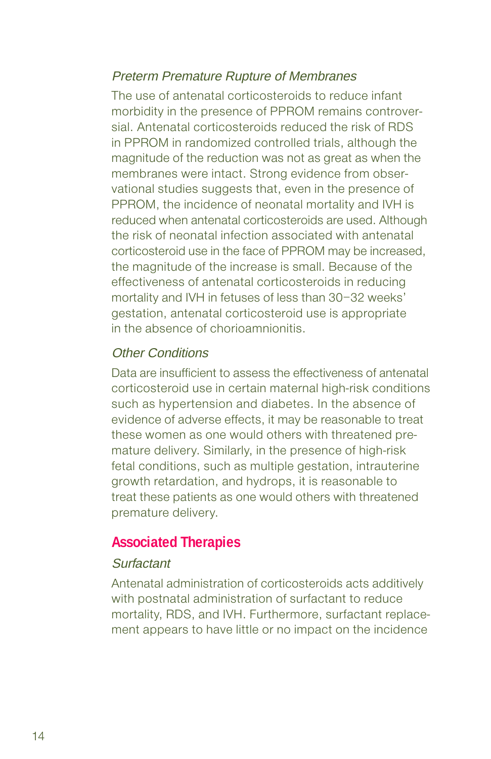### Preterm Premature Rupture of Membranes

The use of antenatal corticosteroids to reduce infant morbidity in the presence of PPROM remains controversial. Antenatal corticosteroids reduced the risk of RDS in PPROM in randomized controlled trials, although the magnitude of the reduction was not as great as when the membranes were intact. Strong evidence from observational studies suggests that, even in the presence of PPROM, the incidence of neonatal mortality and IVH is reduced when antenatal corticosteroids are used. Although the risk of neonatal infection associated with antenatal corticosteroid use in the face of PPROM may be increased, the magnitude of the increase is small. Because of the effectiveness of antenatal corticosteroids in reducing mortality and IVH in fetuses of less than 30–32 weeks' gestation, antenatal corticosteroid use is appropriate in the absence of chorioamnionitis.

### Other Conditions

Data are insufficient to assess the effectiveness of antenatal corticosteroid use in certain maternal high-risk conditions such as hypertension and diabetes. In the absence of evidence of adverse effects, it may be reasonable to treat these women as one would others with threatened premature delivery. Similarly, in the presence of high-risk fetal conditions, such as multiple gestation, intrauterine growth retardation, and hydrops, it is reasonable to treat these patients as one would others with threatened premature delivery.

### **Associated Therapies**

### Surfactant

Antenatal administration of corticosteroids acts additively with postnatal administration of surfactant to reduce mortality, RDS, and IVH. Furthermore, surfactant replacement appears to have little or no impact on the incidence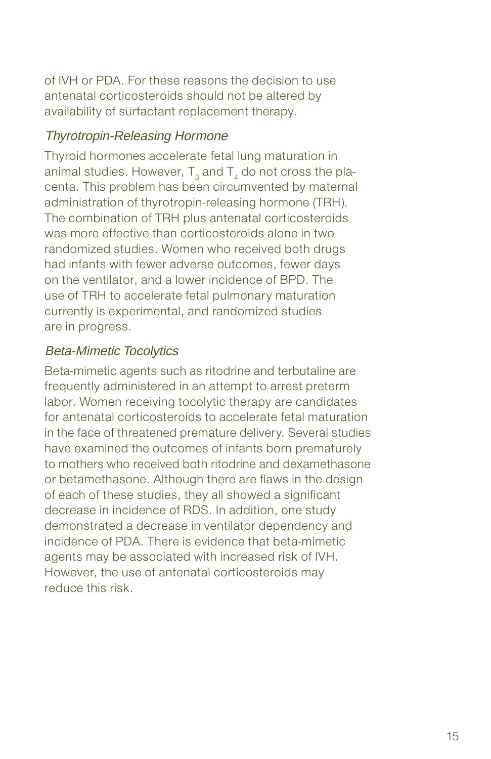of IVH or PDA. For these reasons the decision to use antenatal corticosteroids should not be altered by availability of surfactant replacement therapy.

### Thyrotropin-Releasing Hormone

Thyroid hormones accelerate fetal lung maturation in animal studies. However,  $\mathsf{T}_\mathsf{3}$  and  $\mathsf{T}_\mathsf{4}$  do not cross the placenta. This problem has been circumvented by maternal administration of thyrotropin-releasing hormone (TRH). The combination of TRH plus antenatal corticosteroids was more effective than corticosteroids alone in two randomized studies. Women who received both drugs had infants with fewer adverse outcomes, fewer days on the ventilator, and a lower incidence of BPD. The use of TRH to accelerate fetal pulmonary maturation currently is experimental, and randomized studies are in progress.

### Beta-Mimetic Tocolytics

Beta-mimetic agents such as ritodrine and terbutaline are frequently administered in an attempt to arrest preterm labor. Women receiving tocolytic therapy are candidates for antenatal corticosteroids to accelerate fetal maturation in the face of threatened premature delivery. Several studies have examined the outcomes of infants born prematurely to mothers who received both ritodrine and dexamethasone or betamethasone. Although there are flaws in the design of each of these studies, they all showed a significant decrease in incidence of RDS. In addition, one study demonstrated a decrease in ventilator dependency and incidence of PDA. There is evidence that beta-mimetic agents may be associated with increased risk of IVH. However, the use of antenatal corticosteroids may reduce this risk.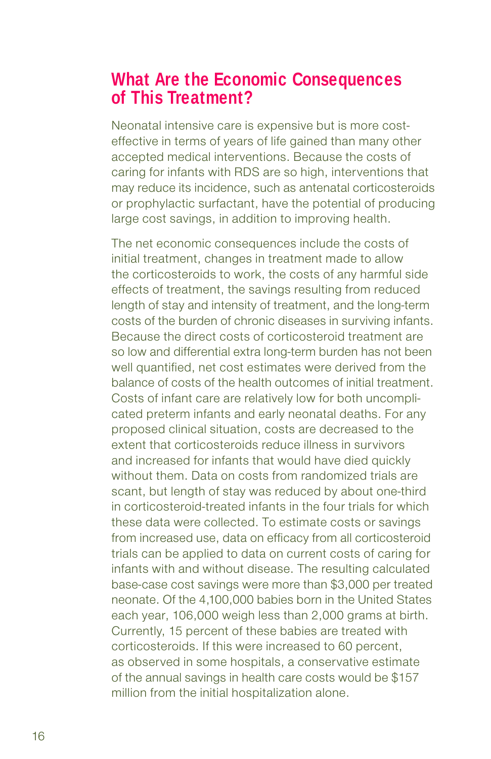# **What Are the Economic Consequences of This Treatment?**

Neonatal intensive care is expensive but is more costeffective in terms of years of life gained than many other accepted medical interventions. Because the costs of caring for infants with RDS are so high, interventions that may reduce its incidence, such as antenatal corticosteroids or prophylactic surfactant, have the potential of producing large cost savings, in addition to improving health.

The net economic consequences include the costs of initial treatment, changes in treatment made to allow the corticosteroids to work, the costs of any harmful side effects of treatment, the savings resulting from reduced length of stay and intensity of treatment, and the long-term costs of the burden of chronic diseases in surviving infants. Because the direct costs of corticosteroid treatment are so low and differential extra long-term burden has not been well quantified, net cost estimates were derived from the balance of costs of the health outcomes of initial treatment. Costs of infant care are relatively low for both uncomplicated preterm infants and early neonatal deaths. For any proposed clinical situation, costs are decreased to the extent that corticosteroids reduce illness in survivors and increased for infants that would have died quickly without them. Data on costs from randomized trials are scant, but length of stay was reduced by about one-third in corticosteroid-treated infants in the four trials for which these data were collected. To estimate costs or savings from increased use, data on efficacy from all corticosteroid trials can be applied to data on current costs of caring for infants with and without disease. The resulting calculated base-case cost savings were more than \$3,000 per treated neonate. Of the 4,100,000 babies born in the United States each year, 106,000 weigh less than 2,000 grams at birth. Currently, 15 percent of these babies are treated with corticosteroids. If this were increased to 60 percent, as observed in some hospitals, a conservative estimate of the annual savings in health care costs would be \$157 million from the initial hospitalization alone.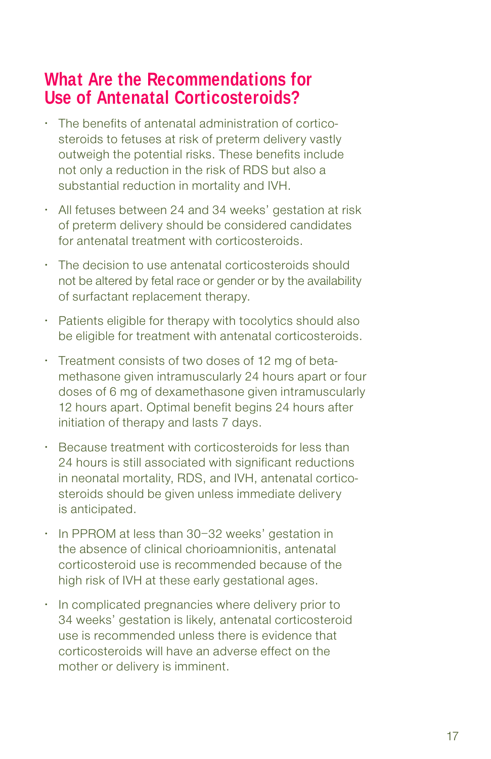# **What Are the Recommendations for Use of Antenatal Corticosteroids?**

- The benefits of antenatal administration of corticosteroids to fetuses at risk of preterm delivery vastly outweigh the potential risks. These benefits include not only a reduction in the risk of RDS but also a substantial reduction in mortality and IVH.
- • All fetuses between 24 and 34 weeks' gestation at risk of preterm delivery should be considered candidates for antenatal treatment with corticosteroids.
- • The decision to use antenatal corticosteroids should not be altered by fetal race or gender or by the availability of surfactant replacement therapy.
- Patients eligible for therapy with tocolytics should also be eligible for treatment with antenatal corticosteroids.
- Treatment consists of two doses of 12 mg of betamethasone given intramuscularly 24 hours apart or four doses of 6 mg of dexamethasone given intramuscularly 12 hours apart. Optimal benefit begins 24 hours after initiation of therapy and lasts 7 days.
- Because treatment with corticosteroids for less than 24 hours is still associated with significant reductions in neonatal mortality, RDS, and IVH, antenatal corticosteroids should be given unless immediate delivery is anticipated.
- In PPROM at less than 30-32 weeks' gestation in the absence of clinical chorioamnionitis, antenatal corticosteroid use is recommended because of the high risk of IVH at these early gestational ages.
- $\cdot$  In complicated pregnancies where delivery prior to 34 weeks' gestation is likely, antenatal corticosteroid use is recommended unless there is evidence that corticosteroids will have an adverse effect on the mother or delivery is imminent.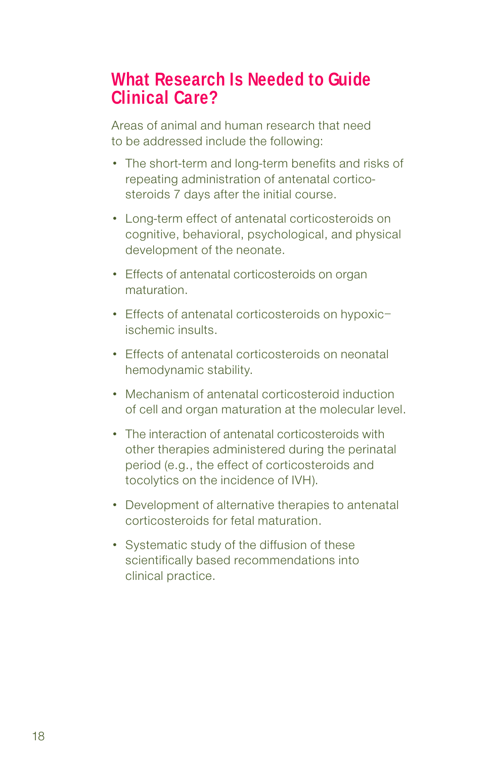# **What Research Is Needed to Guide Clinical Care?**

Areas of animal and human research that need to be addressed include the following:

- The short-term and long-term benefits and risks of repeating administration of antenatal corticosteroids 7 days after the initial course.
- Long-term effect of antenatal corticosteroids on cognitive, behavioral, psychological, and physical development of the neonate.
- • Effects of antenatal corticosteroids on organ maturation.
- Effects of antenatal corticosteroids on hypoxicischemic insults.
- Effects of antenatal corticosteroids on neonatal hemodynamic stability.
- Mechanism of antenatal corticosteroid induction of cell and organ maturation at the molecular level.
- The interaction of antenatal corticosteroids with other therapies administered during the perinatal period (e.g., the effect of corticosteroids and tocolytics on the incidence of IVH).
- Development of alternative therapies to antenatal corticosteroids for fetal maturation.
- • Systematic study of the diffusion of these scientifically based recommendations into clinical practice.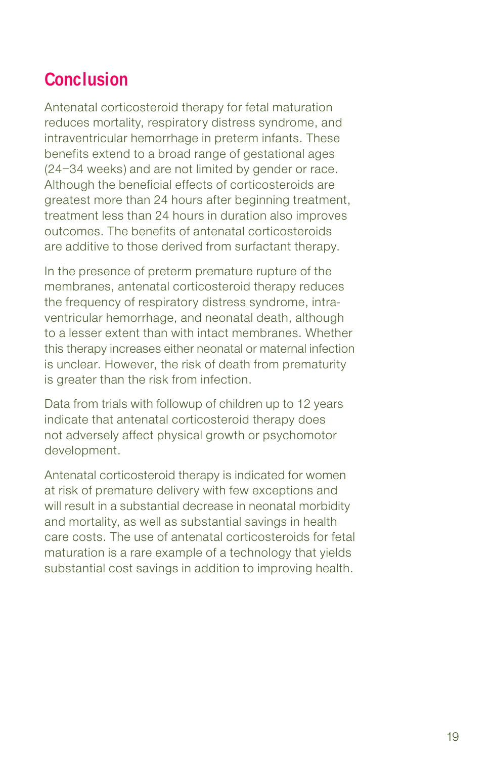# **Conclusion**

Antenatal corticosteroid therapy for fetal maturation reduces mortality, respiratory distress syndrome, and intraventricular hemorrhage in preterm infants. These benefits extend to a broad range of gestational ages (24–34 weeks) and are not limited by gender or race. Although the beneficial effects of corticosteroids are greatest more than 24 hours after beginning treatment, treatment less than 24 hours in duration also improves outcomes. The benefits of antenatal corticosteroids are additive to those derived from surfactant therapy.

In the presence of preterm premature rupture of the membranes, antenatal corticosteroid therapy reduces the frequency of respiratory distress syndrome, intraventricular hemorrhage, and neonatal death, although to a lesser extent than with intact membranes. Whether this therapy increases either neonatal or maternal infection is unclear. However, the risk of death from prematurity is greater than the risk from infection.

Data from trials with followup of children up to 12 years indicate that antenatal corticosteroid therapy does not adversely affect physical growth or psychomotor development.

Antenatal corticosteroid therapy is indicated for women at risk of premature delivery with few exceptions and will result in a substantial decrease in neonatal morbidity and mortality, as well as substantial savings in health care costs. The use of antenatal corticosteroids for fetal maturation is a rare example of a technology that yields substantial cost savings in addition to improving health.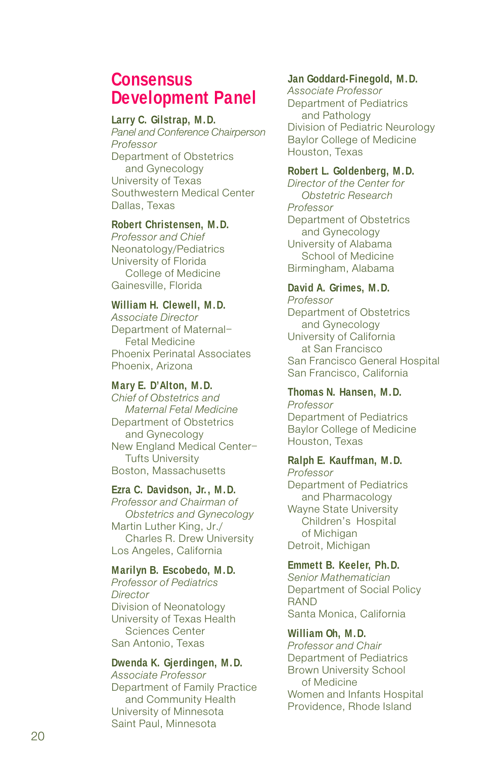# **Consensus Development Panel**

#### **Larry C. Gilstrap, M.D.**

Panel and Conference Chairperson Professor Department of Obstetrics and Gynecology University of Texas Southwestern Medical Center Dallas, Texas

#### **Robert Christensen, M.D.**

Professor and Chief Neonatology/Pediatrics University of Florida College of Medicine Gainesville, Florida

#### **William H. Clewell, M.D.**

Associate Director Department of Maternal– Fetal Medicine Phoenix Perinatal Associates Phoenix, Arizona

#### **Mary E. D'Alton, M.D.**

Chief of Obstetrics and Maternal Fetal Medicine Department of Obstetrics and Gynecology New England Medical Center– Tufts University Boston, Massachusetts

#### **Ezra C. Davidson, Jr., M.D.**

Professor and Chairman of Obstetrics and Gynecology Martin Luther King, Jr./ Charles R. Drew University Los Angeles, California

#### **Marilyn B. Escobedo, M.D.**

Professor of Pediatrics **Director** Division of Neonatology University of Texas Health Sciences Center San Antonio, Texas

#### **Dwenda K. Gjerdingen, M.D.**

Associate Professor Department of Family Practice and Community Health University of Minnesota Saint Paul, Minnesota

#### **Jan Goddard-Finegold, M.D.**

Associate Professor Department of Pediatrics and Pathology Division of Pediatric Neurology Baylor College of Medicine Houston, Texas

#### **Robert L. Goldenberg, M.D.**

Director of the Center for Obstetric Research Professor Department of Obstetrics and Gynecology University of Alabama School of Medicine Birmingham, Alabama

#### **David A. Grimes, M.D.**

Professor Department of Obstetrics and Gynecology University of California at San Francisco San Francisco General Hospital San Francisco, California

#### **Thomas N. Hansen, M.D.**

Professor Department of Pediatrics Baylor College of Medicine Houston, Texas

#### **Ralph E. Kauffman, M.D.**

Professor Department of Pediatrics and Pharmacology Wayne State University Children's Hospital of Michigan Detroit, Michigan

#### **Emmett B. Keeler, Ph.D.**

Senior Mathematician Department of Social Policy RAND Santa Monica, California

#### **William Oh, M.D.**

Professor and Chair Department of Pediatrics Brown University School of Medicine Women and Infants Hospital Providence, Rhode Island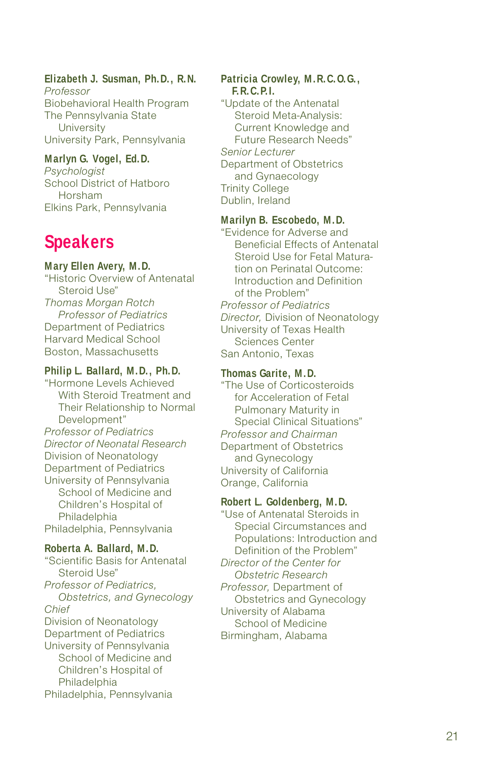#### **Elizabeth J. Susman, Ph.D., R.N.**

Professor Biobehavioral Health Program The Pennsylvania State **University** University Park, Pennsylvania

#### **Marlyn G. Vogel, Ed.D. Psychologist** School District of Hatboro Horsham Elkins Park, Pennsylvania

# **Speakers**

#### **Mary Ellen Avery, M.D.**

"Historic Overview of Antenatal Steroid Use" Thomas Morgan Rotch Professor of Pediatrics Department of Pediatrics Harvard Medical School Boston, Massachusetts

#### **Philip L. Ballard, M.D., Ph.D.**

"Hormone Levels Achieved With Steroid Treatment and Their Relationship to Normal Development" Professor of Pediatrics Director of Neonatal Research Division of Neonatology Department of Pediatrics University of Pennsylvania School of Medicine and Children's Hospital of Philadelphia Philadelphia, Pennsylvania

#### **Roberta A. Ballard, M.D.**

"Scientific Basis for Antenatal Steroid Use" Professor of Pediatrics, Obstetrics, and Gynecology **Chief** Division of Neonatology Department of Pediatrics University of Pennsylvania School of Medicine and Children's Hospital of **Philadelphia** Philadelphia, Pennsylvania

#### **Patricia Crowley, M.R.C.O.G., F.R.C.P.I.**

"Update of the Antenatal Steroid Meta-Analysis: Current Knowledge and Future Research Needs" Senior Lecturer Department of Obstetrics and Gynaecology Trinity College Dublin, Ireland

#### **Marilyn B. Escobedo, M.D.**

"Evidence for Adverse and Beneficial Effects of Antenatal Steroid Use for Fetal Maturation on Perinatal Outcome: Introduction and Definition of the Problem" Professor of Pediatrics Director, Division of Neonatology University of Texas Health Sciences Center San Antonio, Texas

#### **Thomas Garite, M.D.**

"The Use of Corticosteroids for Acceleration of Fetal Pulmonary Maturity in Special Clinical Situations" Professor and Chairman Department of Obstetrics and Gynecology University of California Orange, California

#### **Robert L. Goldenberg, M.D.**

"Use of Antenatal Steroids in Special Circumstances and Populations: Introduction and Definition of the Problem" Director of the Center for Obstetric Research Professor, Department of Obstetrics and Gynecology University of Alabama School of Medicine Birmingham, Alabama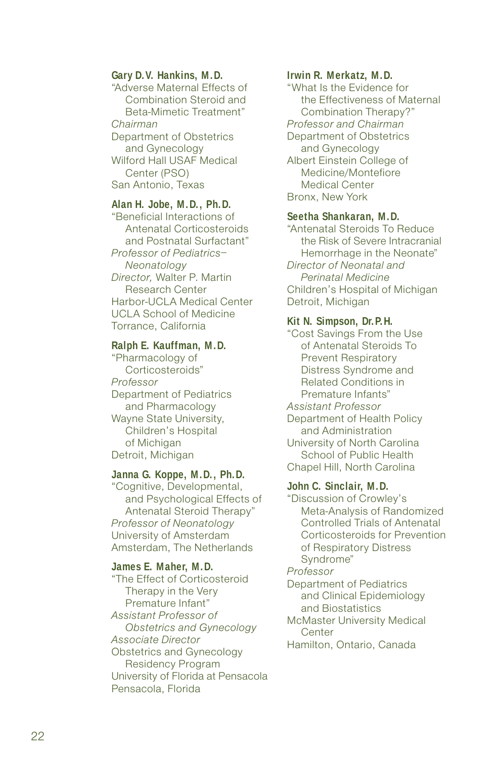#### **Gary D.V. Hankins, M.D.**

"Adverse Maternal Effects of Combination Steroid and Beta-Mimetic Treatment" Chairman Department of Obstetrics

and Gynecology Wilford Hall USAF Medical Center (PSO) San Antonio, Texas

#### **Alan H. Jobe, M.D., Ph.D.**

"Beneficial Interactions of Antenatal Corticosteroids and Postnatal Surfactant" Professor of Pediatrics– **Neonatology** Director, Walter P. Martin Research Center Harbor-UCLA Medical Center UCLA School of Medicine Torrance, California

#### **Ralph E. Kauffman, M.D.**

"Pharmacology of Corticosteroids" Professor Department of Pediatrics and Pharmacology Wayne State University, Children's Hospital of Michigan Detroit, Michigan

#### **Janna G. Koppe, M.D., Ph.D.**

"Cognitive, Developmental, and Psychological Effects of Antenatal Steroid Therapy" Professor of Neonatology University of Amsterdam Amsterdam, The Netherlands

#### **James E. Maher, M.D.**

"The Effect of Corticosteroid Therapy in the Very Premature Infant" Assistant Professor of Obstetrics and Gynecology Associate Director Obstetrics and Gynecology Residency Program University of Florida at Pensacola Pensacola, Florida

#### **Irwin R. Merkatz, M.D.**

"What Is the Evidence for the Effectiveness of Maternal Combination Therapy?" Professor and Chairman

Department of Obstetrics

and Gynecology Albert Einstein College of Medicine/Montefiore Medical Center Bronx, New York

#### **Seetha Shankaran, M.D.**

"Antenatal Steroids To Reduce the Risk of Severe Intracranial Hemorrhage in the Neonate" Director of Neonatal and Perinatal Medicine Children's Hospital of Michigan Detroit, Michigan

#### **Kit N. Simpson, Dr.P.H.**

"Cost Savings From the Use of Antenatal Steroids To Prevent Respiratory Distress Syndrome and Related Conditions in Premature Infants" Assistant Professor Department of Health Policy and Administration University of North Carolina School of Public Health Chapel Hill, North Carolina

#### **John C. Sinclair, M.D.**

"Discussion of Crowley's Meta-Analysis of Randomized Controlled Trials of Antenatal Corticosteroids for Prevention of Respiratory Distress Syndrome"

#### Professor

Department of Pediatrics and Clinical Epidemiology and Biostatistics

McMaster University Medical **Center** 

Hamilton, Ontario, Canada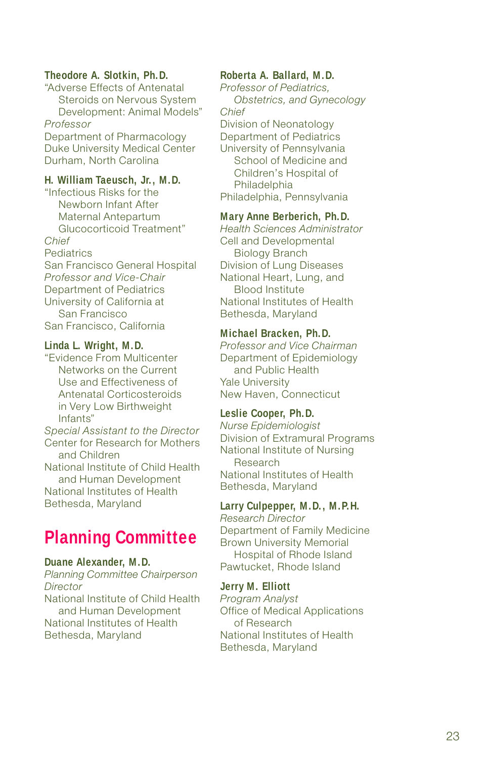#### **Theodore A. Slotkin, Ph.D.**

"Adverse Effects of Antenatal Steroids on Nervous System Development: Animal Models" Professor

Department of Pharmacology Duke University Medical Center Durham, North Carolina

#### **H. William Taeusch, Jr., M.D.**

"Infectious Risks for the Newborn Infant After Maternal Antepartum Glucocorticoid Treatment" Chief **Pediatrics** San Francisco General Hospital Professor and Vice-Chair Department of Pediatrics University of California at San Francisco San Francisco, California

#### **Linda L. Wright, M.D.**

"Evidence From Multicenter Networks on the Current Use and Effectiveness of Antenatal Corticosteroids in Very Low Birthweight Infants"

Special Assistant to the Director Center for Research for Mothers and Children

National Institute of Child Health and Human Development

National Institutes of Health Bethesda, Maryland

# **Planning Committee**

#### **Duane Alexander, M.D.**

Planning Committee Chairperson **Director** National Institute of Child Health and Human Development National Institutes of Health

Bethesda, Maryland

#### **Roberta A. Ballard, M.D.**

Professor of Pediatrics, Obstetrics, and Gynecology **Chief** Division of Neonatology Department of Pediatrics University of Pennsylvania School of Medicine and Children's Hospital of **Philadelphia** Philadelphia, Pennsylvania

#### **Mary Anne Berberich, Ph.D.**

Health Sciences Administrator Cell and Developmental Biology Branch Division of Lung Diseases National Heart, Lung, and Blood Institute National Institutes of Health Bethesda, Maryland

#### **Michael Bracken, Ph.D.**

Professor and Vice Chairman Department of Epidemiology and Public Health Yale University New Haven, Connecticut

#### **Leslie Cooper, Ph.D.**

Nurse Epidemiologist Division of Extramural Programs National Institute of Nursing Research National Institutes of Health Bethesda, Maryland

#### **Larry Culpepper, M.D., M.P.H.**

Research Director Department of Family Medicine Brown University Memorial Hospital of Rhode Island Pawtucket, Rhode Island

#### **Jerry M. Elliott**

Program Analyst Office of Medical Applications of Research National Institutes of Health Bethesda, Maryland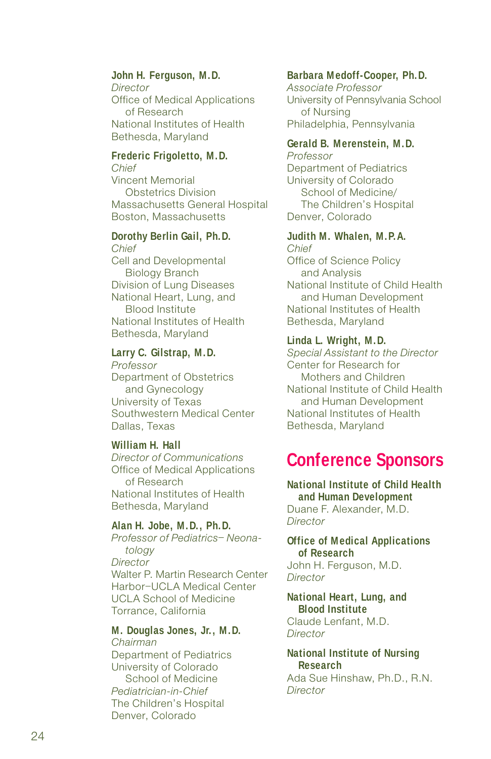#### **John H. Ferguson, M.D.**

**Director** Office of Medical Applications of Research National Institutes of Health Bethesda, Maryland

#### **Frederic Frigoletto, M.D.**  Chief

Vincent Memorial Obstetrics Division Massachusetts General Hospital Boston, Massachusetts

### **Dorothy Berlin Gail, Ph.D.**

Chief Cell and Developmental Biology Branch Division of Lung Diseases National Heart, Lung, and Blood Institute National Institutes of Health Bethesda, Maryland

#### **Larry C. Gilstrap, M.D.**

Professor Department of Obstetrics and Gynecology University of Texas Southwestern Medical Center Dallas, Texas

#### **William H. Hall**

Director of Communications Office of Medical Applications of Research National Institutes of Health Bethesda, Maryland

#### **Alan H. Jobe, M.D., Ph.D.**

Professor of Pediatrics– Neonatology **Director** Walter P. Martin Research Center Harbor–UCLA Medical Center UCLA School of Medicine Torrance, California

#### **M. Douglas Jones, Jr., M.D.**  Chairman

Department of Pediatrics University of Colorado School of Medicine Pediatrician-in-Chief The Children's Hospital Denver, Colorado

#### **Barbara Medoff-Cooper, Ph.D.**

Associate Professor University of Pennsylvania School of Nursing Philadelphia, Pennsylvania

#### **Gerald B. Merenstein, M.D.**

Professor Department of Pediatrics University of Colorado School of Medicine/ The Children's Hospital Denver, Colorado

#### **Judith M. Whalen, M.P.A.**

Chief Office of Science Policy and Analysis National Institute of Child Health and Human Development National Institutes of Health Bethesda, Maryland

#### **Linda L. Wright, M.D.**

Special Assistant to the Director Center for Research for Mothers and Children National Institute of Child Health and Human Development National Institutes of Health Bethesda, Maryland

# **Conference Sponsors**

#### **National Institute of Child Health and Human Development**

Duane F. Alexander, M.D. **Director** 

#### **Office of Medical Applications of Research**

John H. Ferguson, M.D. **Director** 

#### **National Heart, Lung, and Blood Institute**

Claude Lenfant, M.D. **Director** 

#### **National Institute of Nursing Research**

Ada Sue Hinshaw, Ph.D., R.N. **Director**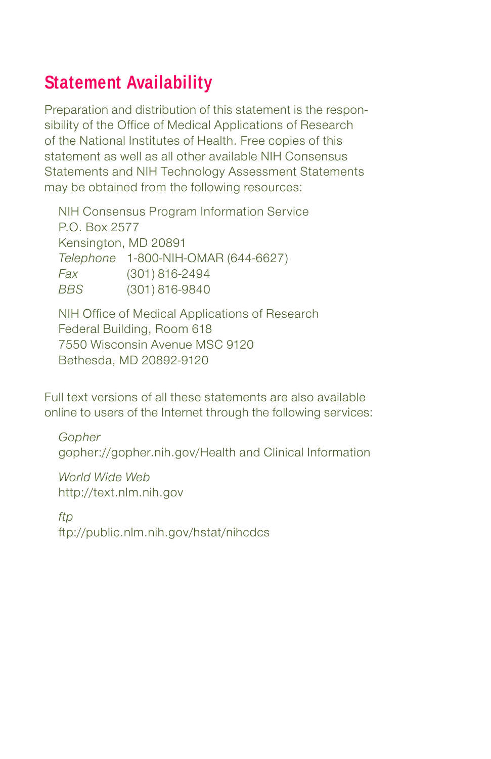# **Statement Availability**

Preparation and distribution of this statement is the responsibility of the Office of Medical Applications of Research of the National Institutes of Health. Free copies of this statement as well as all other available NIH Consensus Statements and NIH Technology Assessment Statements may be obtained from the following resources:

NIH Consensus Program Information Service P.O. Box 2577 Kensington, MD 20891 Telephone 1-800-NIH-OMAR (644-6627) Fax (301) 816-2494 BBS (301) 816-9840

NIH Office of Medical Applications of Research Federal Building, Room 618 7550 Wisconsin Avenue MSC 9120 Bethesda, MD 20892-9120

Full text versions of all these statements are also available online to users of the Internet through the following services:

Gopher gopher://gopher.nih.gov/Health and Clinical Information

World Wide Web http://text.nlm.nih.gov

ftp ftp://public.nlm.nih.gov/hstat/nihcdcs